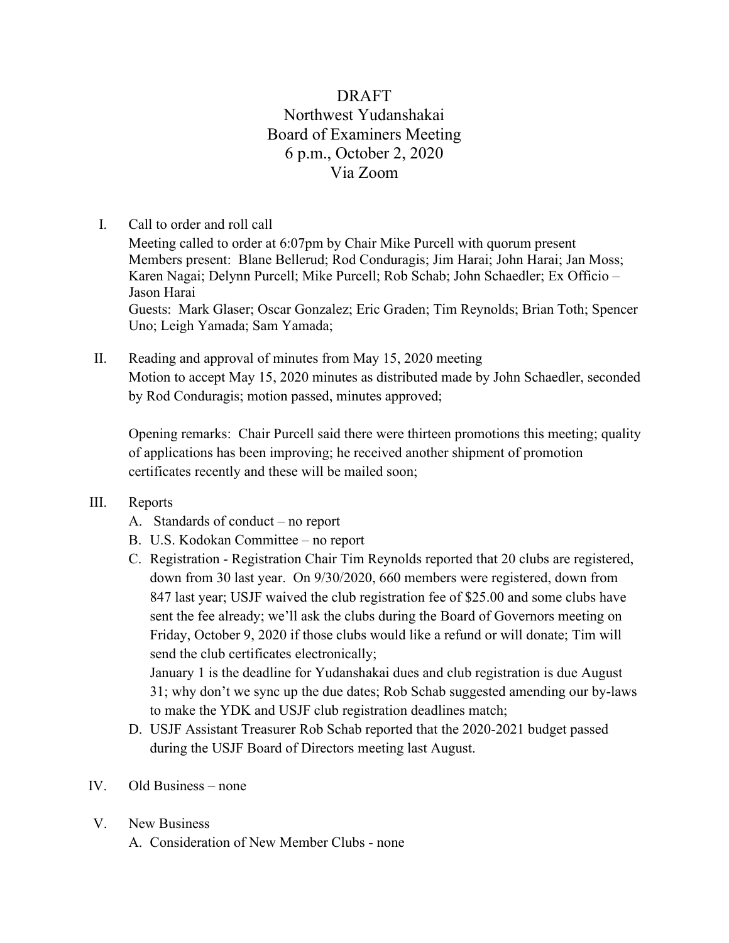# DRAFT Northwest Yudanshakai Board of Examiners Meeting 6 p.m., October 2, 2020 Via Zoom

## I. Call to order and roll call

Meeting called to order at 6:07pm by Chair Mike Purcell with quorum present Members present: Blane Bellerud; Rod Conduragis; Jim Harai; John Harai; Jan Moss; Karen Nagai; Delynn Purcell; Mike Purcell; Rob Schab; John Schaedler; Ex Officio – Jason Harai Guests: Mark Glaser; Oscar Gonzalez; Eric Graden; Tim Reynolds; Brian Toth; Spencer

Uno; Leigh Yamada; Sam Yamada;

II. Reading and approval of minutes from May 15, 2020 meeting Motion to accept May 15, 2020 minutes as distributed made by John Schaedler, seconded by Rod Conduragis; motion passed, minutes approved;

Opening remarks: Chair Purcell said there were thirteen promotions this meeting; quality of applications has been improving; he received another shipment of promotion certificates recently and these will be mailed soon;

### III. Reports

- A. Standards of conduct no report
- B. U.S. Kodokan Committee no report
- C. Registration Registration Chair Tim Reynolds reported that 20 clubs are registered, down from 30 last year. On 9/30/2020, 660 members were registered, down from 847 last year; USJF waived the club registration fee of \$25.00 and some clubs have sent the fee already; we'll ask the clubs during the Board of Governors meeting on Friday, October 9, 2020 if those clubs would like a refund or will donate; Tim will send the club certificates electronically;

January 1 is the deadline for Yudanshakai dues and club registration is due August 31; why don't we sync up the due dates; Rob Schab suggested amending our by-laws to make the YDK and USJF club registration deadlines match;

- D. USJF Assistant Treasurer Rob Schab reported that the 2020-2021 budget passed during the USJF Board of Directors meeting last August.
- IV. Old Business none
- V. New Business
	- A. Consideration of New Member Clubs none